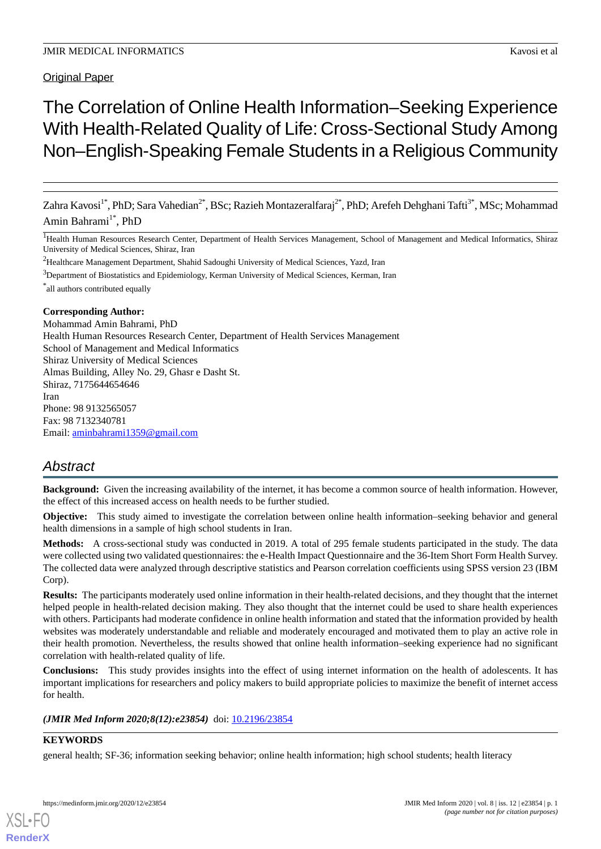# Original Paper

# The Correlation of Online Health Information–Seeking Experience With Health-Related Quality of Life: Cross-Sectional Study Among Non–English-Speaking Female Students in a Religious Community

Zahra Kavosi<sup>1\*</sup>, PhD; Sara Vahedian<sup>2\*</sup>, BSc; Razieh Montazeralfaraj<sup>2\*</sup>, PhD; Arefeh Dehghani Tafti<sup>3\*</sup>, MSc; Mohammad Amin Bahrami<sup>1\*</sup>, PhD

<sup>1</sup>Health Human Resources Research Center, Department of Health Services Management, School of Management and Medical Informatics, Shiraz University of Medical Sciences, Shiraz, Iran

<sup>2</sup>Healthcare Management Department, Shahid Sadoughi University of Medical Sciences, Yazd, Iran

<sup>3</sup>Department of Biostatistics and Epidemiology, Kerman University of Medical Sciences, Kerman, Iran

\* all authors contributed equally

#### **Corresponding Author:**

Mohammad Amin Bahrami, PhD Health Human Resources Research Center, Department of Health Services Management School of Management and Medical Informatics Shiraz University of Medical Sciences Almas Building, Alley No. 29, Ghasr e Dasht St. Shiraz, 7175644654646 Iran Phone: 98 9132565057 Fax: 98 7132340781 Email: [aminbahrami1359@gmail.com](mailto:aminbahrami1359@gmail.com)

# *Abstract*

**Background:** Given the increasing availability of the internet, it has become a common source of health information. However, the effect of this increased access on health needs to be further studied.

**Objective:** This study aimed to investigate the correlation between online health information–seeking behavior and general health dimensions in a sample of high school students in Iran.

**Methods:** A cross-sectional study was conducted in 2019. A total of 295 female students participated in the study. The data were collected using two validated questionnaires: the e-Health Impact Questionnaire and the 36-Item Short Form Health Survey. The collected data were analyzed through descriptive statistics and Pearson correlation coefficients using SPSS version 23 (IBM Corp).

**Results:** The participants moderately used online information in their health-related decisions, and they thought that the internet helped people in health-related decision making. They also thought that the internet could be used to share health experiences with others. Participants had moderate confidence in online health information and stated that the information provided by health websites was moderately understandable and reliable and moderately encouraged and motivated them to play an active role in their health promotion. Nevertheless, the results showed that online health information–seeking experience had no significant correlation with health-related quality of life.

**Conclusions:** This study provides insights into the effect of using internet information on the health of adolescents. It has important implications for researchers and policy makers to build appropriate policies to maximize the benefit of internet access for health.

## (JMIR Med Inform 2020;8(12):e23854) doi: [10.2196/23854](http://dx.doi.org/10.2196/23854)

## **KEYWORDS**

[XSL](http://www.w3.org/Style/XSL)•FO **[RenderX](http://www.renderx.com/)**

general health; SF-36; information seeking behavior; online health information; high school students; health literacy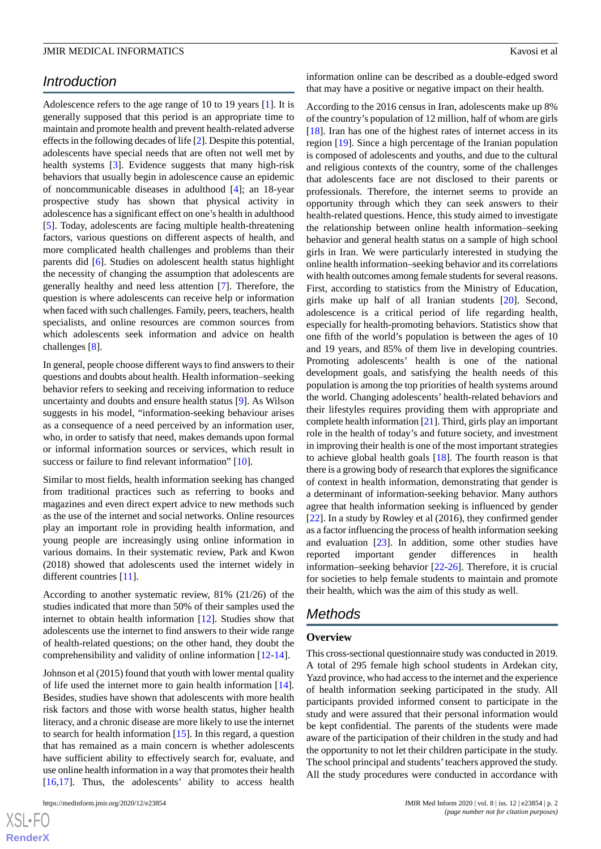# *Introduction*

Adolescence refers to the age range of 10 to 19 years [[1\]](#page-7-0). It is generally supposed that this period is an appropriate time to maintain and promote health and prevent health-related adverse effects in the following decades of life [[2\]](#page-7-1). Despite this potential, adolescents have special needs that are often not well met by health systems [[3\]](#page-7-2). Evidence suggests that many high-risk behaviors that usually begin in adolescence cause an epidemic of noncommunicable diseases in adulthood [\[4](#page-7-3)]; an 18-year prospective study has shown that physical activity in adolescence has a significant effect on one's health in adulthood [[5\]](#page-7-4). Today, adolescents are facing multiple health-threatening factors, various questions on different aspects of health, and more complicated health challenges and problems than their parents did [[6\]](#page-7-5). Studies on adolescent health status highlight the necessity of changing the assumption that adolescents are generally healthy and need less attention [[7\]](#page-7-6). Therefore, the question is where adolescents can receive help or information when faced with such challenges. Family, peers, teachers, health specialists, and online resources are common sources from which adolescents seek information and advice on health challenges [[8\]](#page-7-7).

In general, people choose different ways to find answers to their questions and doubts about health. Health information–seeking behavior refers to seeking and receiving information to reduce uncertainty and doubts and ensure health status [\[9](#page-7-8)]. As Wilson suggests in his model, "information-seeking behaviour arises as a consequence of a need perceived by an information user, who, in order to satisfy that need, makes demands upon formal or informal information sources or services, which result in success or failure to find relevant information" [[10\]](#page-7-9).

Similar to most fields, health information seeking has changed from traditional practices such as referring to books and magazines and even direct expert advice to new methods such as the use of the internet and social networks. Online resources play an important role in providing health information, and young people are increasingly using online information in various domains. In their systematic review, Park and Kwon (2018) showed that adolescents used the internet widely in different countries [[11\]](#page-7-10).

According to another systematic review, 81% (21/26) of the studies indicated that more than 50% of their samples used the internet to obtain health information [\[12](#page-7-11)]. Studies show that adolescents use the internet to find answers to their wide range of health-related questions; on the other hand, they doubt the comprehensibility and validity of online information [\[12](#page-7-11)-[14\]](#page-7-12).

Johnson et al (2015) found that youth with lower mental quality of life used the internet more to gain health information [[14\]](#page-7-12). Besides, studies have shown that adolescents with more health risk factors and those with worse health status, higher health literacy, and a chronic disease are more likely to use the internet to search for health information [[15\]](#page-7-13). In this regard, a question that has remained as a main concern is whether adolescents have sufficient ability to effectively search for, evaluate, and use online health information in a way that promotes their health [[16](#page-7-14)[,17](#page-7-15)]. Thus, the adolescents' ability to access health

 $XS$  • FC **[RenderX](http://www.renderx.com/)** information online can be described as a double-edged sword that may have a positive or negative impact on their health.

According to the 2016 census in Iran, adolescents make up 8% of the country's population of 12 million, half of whom are girls [[18\]](#page-7-16). Iran has one of the highest rates of internet access in its region [\[19](#page-7-17)]. Since a high percentage of the Iranian population is composed of adolescents and youths, and due to the cultural and religious contexts of the country, some of the challenges that adolescents face are not disclosed to their parents or professionals. Therefore, the internet seems to provide an opportunity through which they can seek answers to their health-related questions. Hence, this study aimed to investigate the relationship between online health information–seeking behavior and general health status on a sample of high school girls in Iran. We were particularly interested in studying the online health information–seeking behavior and its correlations with health outcomes among female students for several reasons. First, according to statistics from the Ministry of Education, girls make up half of all Iranian students [\[20](#page-7-18)]. Second, adolescence is a critical period of life regarding health, especially for health-promoting behaviors. Statistics show that one fifth of the world's population is between the ages of 10 and 19 years, and 85% of them live in developing countries. Promoting adolescents' health is one of the national development goals, and satisfying the health needs of this population is among the top priorities of health systems around the world. Changing adolescents' health-related behaviors and their lifestyles requires providing them with appropriate and complete health information [\[21](#page-7-19)]. Third, girls play an important role in the health of today's and future society, and investment in improving their health is one of the most important strategies to achieve global health goals [\[18](#page-7-16)]. The fourth reason is that there is a growing body of research that explores the significance of context in health information, demonstrating that gender is a determinant of information-seeking behavior. Many authors agree that health information seeking is influenced by gender [[22\]](#page-7-20). In a study by Rowley et al (2016), they confirmed gender as a factor influencing the process of health information seeking and evaluation [\[23](#page-7-21)]. In addition, some other studies have reported important gender differences in health information–seeking behavior [\[22](#page-7-20)-[26\]](#page-8-0). Therefore, it is crucial for societies to help female students to maintain and promote their health, which was the aim of this study as well.

# *Methods*

#### **Overview**

This cross-sectional questionnaire study was conducted in 2019. A total of 295 female high school students in Ardekan city, Yazd province, who had access to the internet and the experience of health information seeking participated in the study. All participants provided informed consent to participate in the study and were assured that their personal information would be kept confidential. The parents of the students were made aware of the participation of their children in the study and had the opportunity to not let their children participate in the study. The school principal and students' teachers approved the study. All the study procedures were conducted in accordance with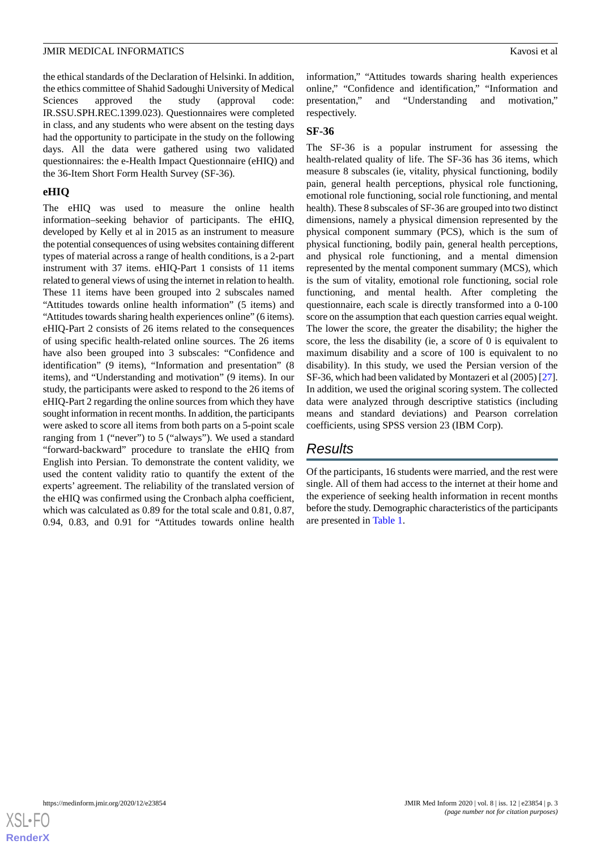the ethical standards of the Declaration of Helsinki. In addition, the ethics committee of Shahid Sadoughi University of Medical Sciences approved the study (approval code: IR.SSU.SPH.REC.1399.023). Questionnaires were completed in class, and any students who were absent on the testing days had the opportunity to participate in the study on the following days. All the data were gathered using two validated questionnaires: the e-Health Impact Questionnaire (eHIQ) and the 36-Item Short Form Health Survey (SF-36).

## **eHIQ**

The eHIQ was used to measure the online health information–seeking behavior of participants. The eHIQ, developed by Kelly et al in 2015 as an instrument to measure the potential consequences of using websites containing different types of material across a range of health conditions, is a 2-part instrument with 37 items. eHIQ-Part 1 consists of 11 items related to general views of using the internet in relation to health. These 11 items have been grouped into 2 subscales named "Attitudes towards online health information" (5 items) and "Attitudes towards sharing health experiences online" (6 items). eHIQ-Part 2 consists of 26 items related to the consequences of using specific health-related online sources. The 26 items have also been grouped into 3 subscales: "Confidence and identification" (9 items), "Information and presentation" (8 items), and "Understanding and motivation" (9 items). In our study, the participants were asked to respond to the 26 items of eHIQ-Part 2 regarding the online sources from which they have sought information in recent months. In addition, the participants were asked to score all items from both parts on a 5-point scale ranging from 1 ("never") to 5 ("always"). We used a standard "forward-backward" procedure to translate the eHIQ from English into Persian. To demonstrate the content validity, we used the content validity ratio to quantify the extent of the experts' agreement. The reliability of the translated version of the eHIQ was confirmed using the Cronbach alpha coefficient, which was calculated as 0.89 for the total scale and 0.81, 0.87, 0.94, 0.83, and 0.91 for "Attitudes towards online health

information," "Attitudes towards sharing health experiences online," "Confidence and identification," "Information and presentation," and "Understanding and motivation," respectively.

## **SF-36**

The SF-36 is a popular instrument for assessing the health-related quality of life. The SF-36 has 36 items, which measure 8 subscales (ie, vitality, physical functioning, bodily pain, general health perceptions, physical role functioning, emotional role functioning, social role functioning, and mental health). These 8 subscales of SF-36 are grouped into two distinct dimensions, namely a physical dimension represented by the physical component summary (PCS), which is the sum of physical functioning, bodily pain, general health perceptions, and physical role functioning, and a mental dimension represented by the mental component summary (MCS), which is the sum of vitality, emotional role functioning, social role functioning, and mental health. After completing the questionnaire, each scale is directly transformed into a 0-100 score on the assumption that each question carries equal weight. The lower the score, the greater the disability; the higher the score, the less the disability (ie, a score of 0 is equivalent to maximum disability and a score of 100 is equivalent to no disability). In this study, we used the Persian version of the SF-36, which had been validated by Montazeri et al (2005) [\[27](#page-8-1)]. In addition, we used the original scoring system. The collected data were analyzed through descriptive statistics (including means and standard deviations) and Pearson correlation coefficients, using SPSS version 23 (IBM Corp).

# *Results*

Of the participants, 16 students were married, and the rest were single. All of them had access to the internet at their home and the experience of seeking health information in recent months before the study. Demographic characteristics of the participants are presented in [Table 1.](#page-3-0)

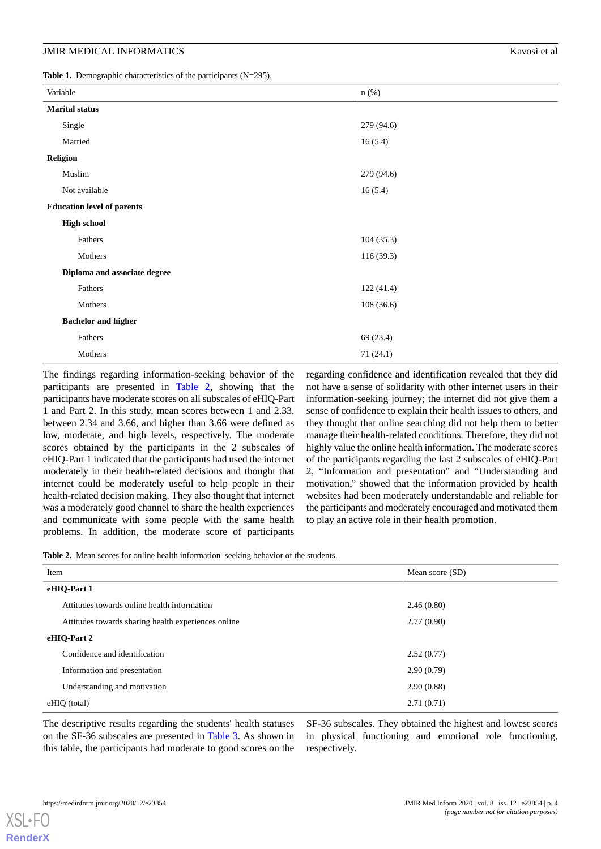<span id="page-3-0"></span>Table 1. Demographic characteristics of the participants (N=295).

| Variable                          | $n$ $(\%)$ |  |
|-----------------------------------|------------|--|
| <b>Marital status</b>             |            |  |
| Single                            | 279 (94.6) |  |
| Married                           | 16(5.4)    |  |
| <b>Religion</b>                   |            |  |
| Muslim                            | 279 (94.6) |  |
| Not available                     | 16(5.4)    |  |
| <b>Education level of parents</b> |            |  |
| <b>High school</b>                |            |  |
| Fathers                           | 104(35.3)  |  |
| Mothers                           | 116 (39.3) |  |
| Diploma and associate degree      |            |  |
| Fathers                           | 122(41.4)  |  |
| Mothers                           | 108(36.6)  |  |
| <b>Bachelor</b> and higher        |            |  |
| Fathers                           | 69 (23.4)  |  |
| Mothers                           | 71 (24.1)  |  |

The findings regarding information-seeking behavior of the participants are presented in [Table 2](#page-3-1), showing that the participants have moderate scores on all subscales of eHIQ-Part 1 and Part 2. In this study, mean scores between 1 and 2.33, between 2.34 and 3.66, and higher than 3.66 were defined as low, moderate, and high levels, respectively. The moderate scores obtained by the participants in the 2 subscales of eHIQ-Part 1 indicated that the participants had used the internet moderately in their health-related decisions and thought that internet could be moderately useful to help people in their health-related decision making. They also thought that internet was a moderately good channel to share the health experiences and communicate with some people with the same health problems. In addition, the moderate score of participants

regarding confidence and identification revealed that they did not have a sense of solidarity with other internet users in their information-seeking journey; the internet did not give them a sense of confidence to explain their health issues to others, and they thought that online searching did not help them to better manage their health-related conditions. Therefore, they did not highly value the online health information. The moderate scores of the participants regarding the last 2 subscales of eHIQ-Part 2, "Information and presentation" and "Understanding and motivation," showed that the information provided by health websites had been moderately understandable and reliable for the participants and moderately encouraged and motivated them to play an active role in their health promotion.

<span id="page-3-1"></span>**Table 2.** Mean scores for online health information–seeking behavior of the students.

| Item<br>Mean score (SD)                             |            |
|-----------------------------------------------------|------------|
| eHIQ-Part 1                                         |            |
| Attitudes towards online health information         | 2.46(0.80) |
| Attitudes towards sharing health experiences online | 2.77(0.90) |
| eHIQ-Part 2                                         |            |
| Confidence and identification                       | 2.52(0.77) |
| Information and presentation                        | 2.90(0.79) |
| Understanding and motivation                        | 2.90(0.88) |
| eHIO (total)                                        | 2.71(0.71) |

The descriptive results regarding the students' health statuses on the SF-36 subscales are presented in [Table 3.](#page-4-0) As shown in this table, the participants had moderate to good scores on the

SF-36 subscales. They obtained the highest and lowest scores in physical functioning and emotional role functioning, respectively.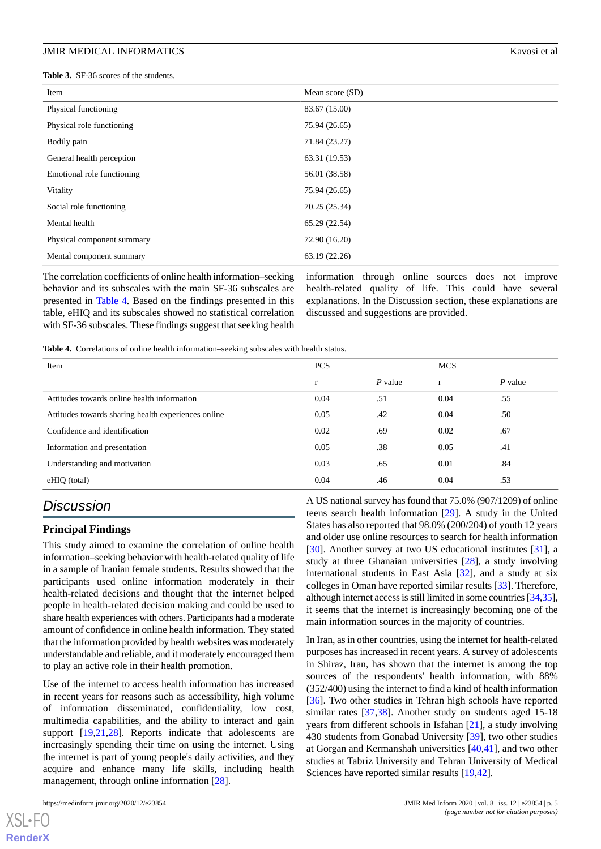<span id="page-4-0"></span>**Table 3.** SF-36 scores of the students.

| Item                       | Mean score $(SD)$ |
|----------------------------|-------------------|
| Physical functioning       | 83.67 (15.00)     |
| Physical role functioning  | 75.94 (26.65)     |
| Bodily pain                | 71.84 (23.27)     |
| General health perception  | 63.31 (19.53)     |
| Emotional role functioning | 56.01 (38.58)     |
| Vitality                   | 75.94 (26.65)     |
| Social role functioning    | 70.25 (25.34)     |
| Mental health              | 65.29 (22.54)     |
| Physical component summary | 72.90 (16.20)     |
| Mental component summary   | 63.19 (22.26)     |

The correlation coefficients of online health information–seeking behavior and its subscales with the main SF-36 subscales are presented in [Table 4.](#page-4-1) Based on the findings presented in this table, eHIQ and its subscales showed no statistical correlation with SF-36 subscales. These findings suggest that seeking health

information through online sources does not improve health-related quality of life. This could have several explanations. In the Discussion section, these explanations are discussed and suggestions are provided.

<span id="page-4-1"></span>**Table 4.** Correlations of online health information–seeking subscales with health status.

| Item                                                | <b>PCS</b> |           | <b>MCS</b> |           |
|-----------------------------------------------------|------------|-----------|------------|-----------|
|                                                     | r          | $P$ value | r          | $P$ value |
| Attitudes towards online health information         | 0.04       | .51       | 0.04       | .55       |
| Attitudes towards sharing health experiences online | 0.05       | .42       | 0.04       | .50       |
| Confidence and identification                       | 0.02       | .69       | 0.02       | .67       |
| Information and presentation                        | 0.05       | .38       | 0.05       | .41       |
| Understanding and motivation                        | 0.03       | .65       | 0.01       | .84       |
| eHIQ (total)                                        | 0.04       | .46       | 0.04       | .53       |

# *Discussion*

#### **Principal Findings**

This study aimed to examine the correlation of online health information–seeking behavior with health-related quality of life in a sample of Iranian female students. Results showed that the participants used online information moderately in their health-related decisions and thought that the internet helped people in health-related decision making and could be used to share health experiences with others. Participants had a moderate amount of confidence in online health information. They stated that the information provided by health websites was moderately understandable and reliable, and it moderately encouraged them to play an active role in their health promotion.

Use of the internet to access health information has increased in recent years for reasons such as accessibility, high volume of information disseminated, confidentiality, low cost, multimedia capabilities, and the ability to interact and gain support [\[19](#page-7-17),[21](#page-7-19)[,28](#page-8-2)]. Reports indicate that adolescents are increasingly spending their time on using the internet. Using the internet is part of young people's daily activities, and they acquire and enhance many life skills, including health management, through online information [[28\]](#page-8-2).

 $X$ SL•F $O$ **[RenderX](http://www.renderx.com/)** A US national survey has found that 75.0% (907/1209) of online teens search health information [[29\]](#page-8-3). A study in the United States has also reported that 98.0% (200/204) of youth 12 years and older use online resources to search for health information [[30\]](#page-8-4). Another survey at two US educational institutes [\[31](#page-8-5)], a study at three Ghanaian universities [[28\]](#page-8-2), a study involving international students in East Asia [[32\]](#page-8-6), and a study at six colleges in Oman have reported similar results [[33\]](#page-8-7). Therefore, although internet access is still limited in some countries [\[34](#page-8-8)[,35](#page-8-9)], it seems that the internet is increasingly becoming one of the main information sources in the majority of countries.

In Iran, as in other countries, using the internet for health-related purposes has increased in recent years. A survey of adolescents in Shiraz, Iran, has shown that the internet is among the top sources of the respondents' health information, with 88% (352/400) using the internet to find a kind of health information [[36\]](#page-8-10). Two other studies in Tehran high schools have reported similar rates [[37,](#page-8-11)[38\]](#page-8-12). Another study on students aged 15-18 years from different schools in Isfahan [[21\]](#page-7-19), a study involving 430 students from Gonabad University [[39\]](#page-8-13), two other studies at Gorgan and Kermanshah universities [[40,](#page-8-14)[41\]](#page-8-15), and two other studies at Tabriz University and Tehran University of Medical Sciences have reported similar results [\[19](#page-7-17),[42\]](#page-8-16).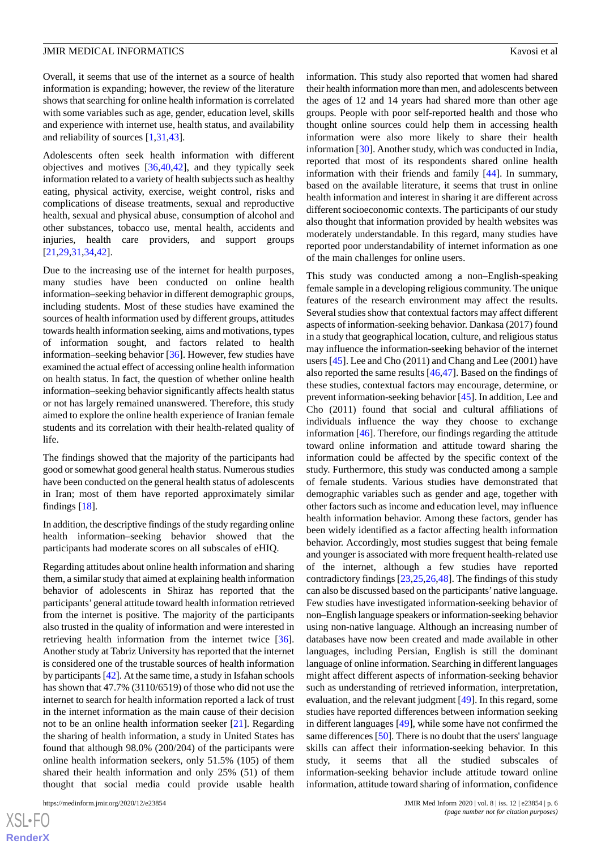Overall, it seems that use of the internet as a source of health information is expanding; however, the review of the literature shows that searching for online health information is correlated with some variables such as age, gender, education level, skills and experience with internet use, health status, and availability and reliability of sources [[1](#page-7-0),[31](#page-8-5),[43\]](#page-8-17).

Adolescents often seek health information with different objectives and motives [[36,](#page-8-10)[40](#page-8-14),[42\]](#page-8-16), and they typically seek information related to a variety of health subjects such as healthy eating, physical activity, exercise, weight control, risks and complications of disease treatments, sexual and reproductive health, sexual and physical abuse, consumption of alcohol and other substances, tobacco use, mental health, accidents and injuries, health care providers, and support groups [[21](#page-7-19)[,29](#page-8-3),[31](#page-8-5)[,34](#page-8-8),[42\]](#page-8-16).

Due to the increasing use of the internet for health purposes, many studies have been conducted on online health information–seeking behavior in different demographic groups, including students. Most of these studies have examined the sources of health information used by different groups, attitudes towards health information seeking, aims and motivations, types of information sought, and factors related to health information–seeking behavior [[36\]](#page-8-10). However, few studies have examined the actual effect of accessing online health information on health status. In fact, the question of whether online health information–seeking behavior significantly affects health status or not has largely remained unanswered. Therefore, this study aimed to explore the online health experience of Iranian female students and its correlation with their health-related quality of life.

The findings showed that the majority of the participants had good or somewhat good general health status. Numerous studies have been conducted on the general health status of adolescents in Iran; most of them have reported approximately similar findings [[18\]](#page-7-16).

In addition, the descriptive findings of the study regarding online health information–seeking behavior showed that the participants had moderate scores on all subscales of eHIQ.

Regarding attitudes about online health information and sharing them, a similar study that aimed at explaining health information behavior of adolescents in Shiraz has reported that the participants'general attitude toward health information retrieved from the internet is positive. The majority of the participants also trusted in the quality of information and were interested in retrieving health information from the internet twice [[36\]](#page-8-10). Another study at Tabriz University has reported that the internet is considered one of the trustable sources of health information by participants [\[42](#page-8-16)]. At the same time, a study in Isfahan schools has shown that 47.7% (3110/6519) of those who did not use the internet to search for health information reported a lack of trust in the internet information as the main cause of their decision not to be an online health information seeker [\[21](#page-7-19)]. Regarding the sharing of health information, a study in United States has found that although 98.0% (200/204) of the participants were online health information seekers, only 51.5% (105) of them shared their health information and only 25% (51) of them thought that social media could provide usable health

information. This study also reported that women had shared their health information more than men, and adolescents between the ages of 12 and 14 years had shared more than other age groups. People with poor self-reported health and those who thought online sources could help them in accessing health information were also more likely to share their health information [\[30](#page-8-4)]. Another study, which was conducted in India, reported that most of its respondents shared online health information with their friends and family [[44\]](#page-8-18). In summary, based on the available literature, it seems that trust in online health information and interest in sharing it are different across different socioeconomic contexts. The participants of our study also thought that information provided by health websites was moderately understandable. In this regard, many studies have reported poor understandability of internet information as one of the main challenges for online users.

This study was conducted among a non–English-speaking female sample in a developing religious community. The unique features of the research environment may affect the results. Several studies show that contextual factors may affect different aspects of information-seeking behavior. Dankasa (2017) found in a study that geographical location, culture, and religious status may influence the information-seeking behavior of the internet users [[45\]](#page-8-19). Lee and Cho (2011) and Chang and Lee (2001) have also reported the same results [\[46](#page-8-20),[47\]](#page-8-21). Based on the findings of these studies, contextual factors may encourage, determine, or prevent information-seeking behavior [[45\]](#page-8-19). In addition, Lee and Cho (2011) found that social and cultural affiliations of individuals influence the way they choose to exchange information [\[46](#page-8-20)]. Therefore, our findings regarding the attitude toward online information and attitude toward sharing the information could be affected by the specific context of the study. Furthermore, this study was conducted among a sample of female students. Various studies have demonstrated that demographic variables such as gender and age, together with other factors such as income and education level, may influence health information behavior. Among these factors, gender has been widely identified as a factor affecting health information behavior. Accordingly, most studies suggest that being female and younger is associated with more frequent health-related use of the internet, although a few studies have reported contradictory findings [[23](#page-7-21)[,25](#page-8-22),[26](#page-8-0)[,48](#page-9-0)]. The findings of this study can also be discussed based on the participants'native language. Few studies have investigated information-seeking behavior of non–English language speakers or information-seeking behavior using non-native language. Although an increasing number of databases have now been created and made available in other languages, including Persian, English is still the dominant language of online information. Searching in different languages might affect different aspects of information-seeking behavior such as understanding of retrieved information, interpretation, evaluation, and the relevant judgment [\[49](#page-9-1)]. In this regard, some studies have reported differences between information seeking in different languages [[49\]](#page-9-1), while some have not confirmed the same differences [[50\]](#page-9-2). There is no doubt that the users' language skills can affect their information-seeking behavior. In this study, it seems that all the studied subscales of information-seeking behavior include attitude toward online information, attitude toward sharing of information, confidence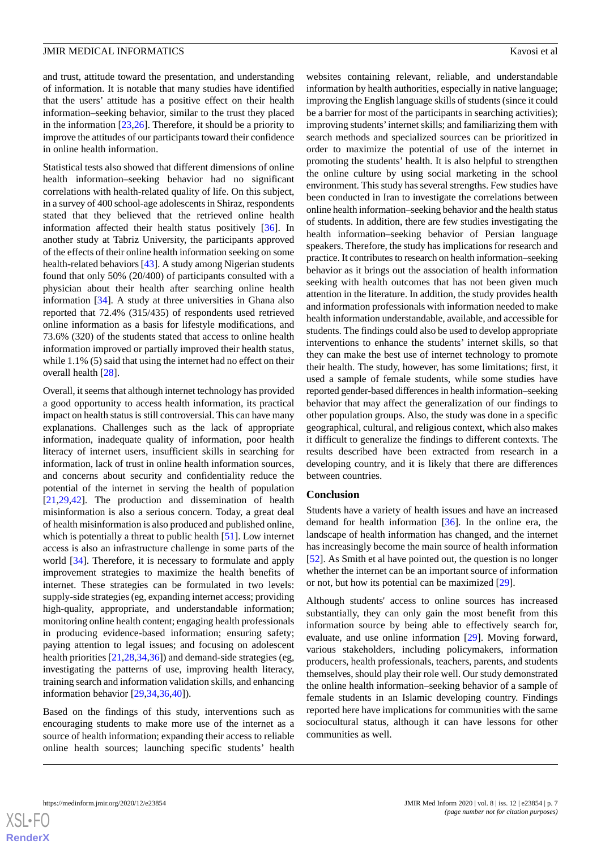and trust, attitude toward the presentation, and understanding of information. It is notable that many studies have identified that the users' attitude has a positive effect on their health information–seeking behavior, similar to the trust they placed in the information [\[23](#page-7-21),[26\]](#page-8-0). Therefore, it should be a priority to improve the attitudes of our participants toward their confidence in online health information.

Statistical tests also showed that different dimensions of online health information–seeking behavior had no significant correlations with health-related quality of life. On this subject, in a survey of 400 school-age adolescents in Shiraz, respondents stated that they believed that the retrieved online health information affected their health status positively [\[36](#page-8-10)]. In another study at Tabriz University, the participants approved of the effects of their online health information seeking on some health-related behaviors [[43\]](#page-8-17). A study among Nigerian students found that only 50% (20/400) of participants consulted with a physician about their health after searching online health information [\[34](#page-8-8)]. A study at three universities in Ghana also reported that 72.4% (315/435) of respondents used retrieved online information as a basis for lifestyle modifications, and 73.6% (320) of the students stated that access to online health information improved or partially improved their health status, while 1.1% (5) said that using the internet had no effect on their overall health [[28\]](#page-8-2).

Overall, it seems that although internet technology has provided a good opportunity to access health information, its practical impact on health status is still controversial. This can have many explanations. Challenges such as the lack of appropriate information, inadequate quality of information, poor health literacy of internet users, insufficient skills in searching for information, lack of trust in online health information sources, and concerns about security and confidentiality reduce the potential of the internet in serving the health of population [[21](#page-7-19)[,29](#page-8-3),[42\]](#page-8-16). The production and dissemination of health misinformation is also a serious concern. Today, a great deal of health misinformation is also produced and published online, which is potentially a threat to public health [[51\]](#page-9-3). Low internet access is also an infrastructure challenge in some parts of the world [\[34](#page-8-8)]. Therefore, it is necessary to formulate and apply improvement strategies to maximize the health benefits of internet. These strategies can be formulated in two levels: supply-side strategies (eg, expanding internet access; providing high-quality, appropriate, and understandable information; monitoring online health content; engaging health professionals in producing evidence-based information; ensuring safety; paying attention to legal issues; and focusing on adolescent health priorities [[21,](#page-7-19)[28](#page-8-2),[34,](#page-8-8)[36](#page-8-10)]) and demand-side strategies (eg, investigating the patterns of use, improving health literacy, training search and information validation skills, and enhancing information behavior [[29](#page-8-3)[,34](#page-8-8),[36](#page-8-10)[,40](#page-8-14)]).

Based on the findings of this study, interventions such as encouraging students to make more use of the internet as a source of health information; expanding their access to reliable online health sources; launching specific students' health websites containing relevant, reliable, and understandable information by health authorities, especially in native language; improving the English language skills of students (since it could be a barrier for most of the participants in searching activities); improving students'internet skills; and familiarizing them with search methods and specialized sources can be prioritized in order to maximize the potential of use of the internet in promoting the students' health. It is also helpful to strengthen the online culture by using social marketing in the school environment. This study has several strengths. Few studies have been conducted in Iran to investigate the correlations between online health information–seeking behavior and the health status of students. In addition, there are few studies investigating the health information–seeking behavior of Persian language speakers. Therefore, the study has implications for research and practice. It contributes to research on health information–seeking behavior as it brings out the association of health information seeking with health outcomes that has not been given much attention in the literature. In addition, the study provides health and information professionals with information needed to make health information understandable, available, and accessible for students. The findings could also be used to develop appropriate interventions to enhance the students' internet skills, so that they can make the best use of internet technology to promote their health. The study, however, has some limitations; first, it used a sample of female students, while some studies have reported gender-based differences in health information–seeking behavior that may affect the generalization of our findings to other population groups. Also, the study was done in a specific geographical, cultural, and religious context, which also makes it difficult to generalize the findings to different contexts. The results described have been extracted from research in a developing country, and it is likely that there are differences between countries.

#### **Conclusion**

Students have a variety of health issues and have an increased demand for health information [[36\]](#page-8-10). In the online era, the landscape of health information has changed, and the internet has increasingly become the main source of health information [[52\]](#page-9-4). As Smith et al have pointed out, the question is no longer whether the internet can be an important source of information or not, but how its potential can be maximized [[29\]](#page-8-3).

Although students' access to online sources has increased substantially, they can only gain the most benefit from this information source by being able to effectively search for, evaluate, and use online information [\[29](#page-8-3)]. Moving forward, various stakeholders, including policymakers, information producers, health professionals, teachers, parents, and students themselves, should play their role well. Our study demonstrated the online health information–seeking behavior of a sample of female students in an Islamic developing country. Findings reported here have implications for communities with the same sociocultural status, although it can have lessons for other communities as well.

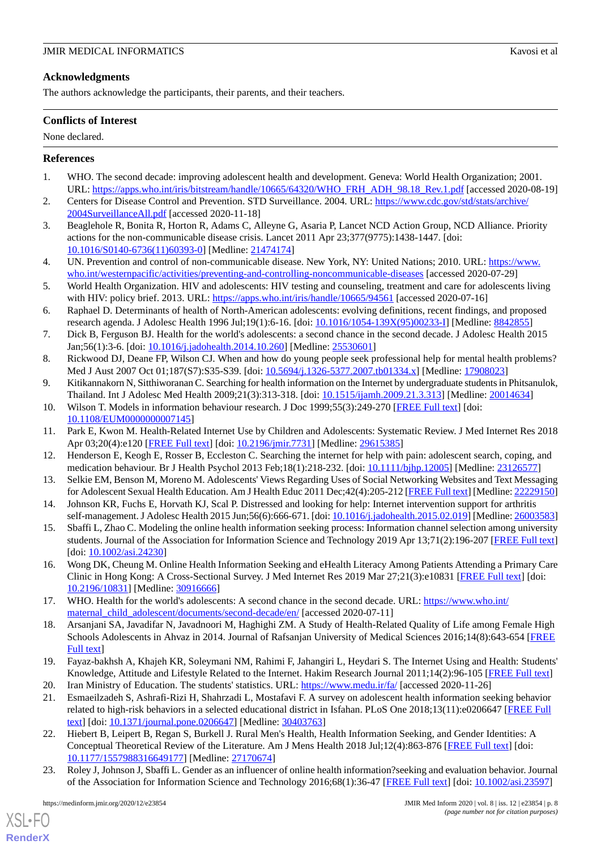# **Acknowledgments**

The authors acknowledge the participants, their parents, and their teachers.

# **Conflicts of Interest**

#### None declared.

# <span id="page-7-0"></span>**References**

- <span id="page-7-1"></span>1. WHO. The second decade: improving adolescent health and development. Geneva: World Health Organization; 2001. URL: [https://apps.who.int/iris/bitstream/handle/10665/64320/WHO\\_FRH\\_ADH\\_98.18\\_Rev.1.pdf](https://apps.who.int/iris/bitstream/handle/10665/64320/WHO_FRH_ADH_98.18_Rev.1.pdf) [accessed 2020-08-19]
- <span id="page-7-2"></span>2. Centers for Disease Control and Prevention. STD Surveillance. 2004. URL: [https://www.cdc.gov/std/stats/archive/](https://www.cdc.gov/std/stats/archive/2004SurveillanceAll.pdf) [2004SurveillanceAll.pdf](https://www.cdc.gov/std/stats/archive/2004SurveillanceAll.pdf) [accessed 2020-11-18]
- <span id="page-7-3"></span>3. Beaglehole R, Bonita R, Horton R, Adams C, Alleyne G, Asaria P, Lancet NCD Action Group, NCD Alliance. Priority actions for the non-communicable disease crisis. Lancet 2011 Apr 23;377(9775):1438-1447. [doi: [10.1016/S0140-6736\(11\)60393-0\]](http://dx.doi.org/10.1016/S0140-6736(11)60393-0) [Medline: [21474174](http://www.ncbi.nlm.nih.gov/entrez/query.fcgi?cmd=Retrieve&db=PubMed&list_uids=21474174&dopt=Abstract)]
- <span id="page-7-4"></span>4. UN. Prevention and control of non-communicable disease. New York, NY: United Nations; 2010. URL: [https://www.](https://www.who.int/westernpacific/activities/preventing-and-controlling-noncommunicable-diseases) [who.int/westernpacific/activities/preventing-and-controlling-noncommunicable-diseases](https://www.who.int/westernpacific/activities/preventing-and-controlling-noncommunicable-diseases) [accessed 2020-07-29]
- <span id="page-7-5"></span>5. World Health Organization. HIV and adolescents: HIV testing and counseling, treatment and care for adolescents living with HIV: policy brief. 2013. URL: <https://apps.who.int/iris/handle/10665/94561> [accessed 2020-07-16]
- <span id="page-7-6"></span>6. Raphael D. Determinants of health of North-American adolescents: evolving definitions, recent findings, and proposed research agenda. J Adolesc Health 1996 Jul;19(1):6-16. [doi: [10.1016/1054-139X\(95\)00233-I\]](http://dx.doi.org/10.1016/1054-139X(95)00233-I) [Medline: [8842855](http://www.ncbi.nlm.nih.gov/entrez/query.fcgi?cmd=Retrieve&db=PubMed&list_uids=8842855&dopt=Abstract)]
- <span id="page-7-8"></span><span id="page-7-7"></span>7. Dick B, Ferguson BJ. Health for the world's adolescents: a second chance in the second decade. J Adolesc Health 2015 Jan;56(1):3-6. [doi: [10.1016/j.jadohealth.2014.10.260\]](http://dx.doi.org/10.1016/j.jadohealth.2014.10.260) [Medline: [25530601](http://www.ncbi.nlm.nih.gov/entrez/query.fcgi?cmd=Retrieve&db=PubMed&list_uids=25530601&dopt=Abstract)]
- <span id="page-7-9"></span>8. Rickwood DJ, Deane FP, Wilson CJ. When and how do young people seek professional help for mental health problems? Med J Aust 2007 Oct 01;187(S7):S35-S39. [doi: [10.5694/j.1326-5377.2007.tb01334.x](http://dx.doi.org/10.5694/j.1326-5377.2007.tb01334.x)] [Medline: [17908023](http://www.ncbi.nlm.nih.gov/entrez/query.fcgi?cmd=Retrieve&db=PubMed&list_uids=17908023&dopt=Abstract)]
- <span id="page-7-10"></span>9. Kitikannakorn N, Sitthiworanan C. Searching for health information on the Internet by undergraduate students in Phitsanulok, Thailand. Int J Adolesc Med Health 2009;21(3):313-318. [doi: [10.1515/ijamh.2009.21.3.313](http://dx.doi.org/10.1515/ijamh.2009.21.3.313)] [Medline: [20014634](http://www.ncbi.nlm.nih.gov/entrez/query.fcgi?cmd=Retrieve&db=PubMed&list_uids=20014634&dopt=Abstract)]
- <span id="page-7-11"></span>10. Wilson T. Models in information behaviour research. J Doc 1999;55(3):249-270 [[FREE Full text](https://www.emerald.com/insight/content/doi/10.1108/EUM0000000007145/full/html)] [doi: [10.1108/EUM0000000007145](http://dx.doi.org/10.1108/EUM0000000007145)]
- 11. Park E, Kwon M. Health-Related Internet Use by Children and Adolescents: Systematic Review. J Med Internet Res 2018 Apr 03;20(4):e120 [\[FREE Full text\]](https://www.jmir.org/2018/4/e120/) [doi: [10.2196/jmir.7731\]](http://dx.doi.org/10.2196/jmir.7731) [Medline: [29615385](http://www.ncbi.nlm.nih.gov/entrez/query.fcgi?cmd=Retrieve&db=PubMed&list_uids=29615385&dopt=Abstract)]
- <span id="page-7-12"></span>12. Henderson E, Keogh E, Rosser B, Eccleston C. Searching the internet for help with pain: adolescent search, coping, and medication behaviour. Br J Health Psychol 2013 Feb;18(1):218-232. [doi: [10.1111/bjhp.12005\]](http://dx.doi.org/10.1111/bjhp.12005) [Medline: [23126577\]](http://www.ncbi.nlm.nih.gov/entrez/query.fcgi?cmd=Retrieve&db=PubMed&list_uids=23126577&dopt=Abstract)
- <span id="page-7-13"></span>13. Selkie EM, Benson M, Moreno M. Adolescents' Views Regarding Uses of Social Networking Websites and Text Messaging for Adolescent Sexual Health Education. Am J Health Educ 2011 Dec;42(4):205-212 [[FREE Full text\]](http://europepmc.org/abstract/MED/22229150) [Medline: [22229150](http://www.ncbi.nlm.nih.gov/entrez/query.fcgi?cmd=Retrieve&db=PubMed&list_uids=22229150&dopt=Abstract)]
- <span id="page-7-14"></span>14. Johnson KR, Fuchs E, Horvath KJ, Scal P. Distressed and looking for help: Internet intervention support for arthritis self-management. J Adolesc Health 2015 Jun;56(6):666-671. [doi: [10.1016/j.jadohealth.2015.02.019](http://dx.doi.org/10.1016/j.jadohealth.2015.02.019)] [Medline: [26003583\]](http://www.ncbi.nlm.nih.gov/entrez/query.fcgi?cmd=Retrieve&db=PubMed&list_uids=26003583&dopt=Abstract)
- <span id="page-7-15"></span>15. Sbaffi L, Zhao C. Modeling the online health information seeking process: Information channel selection among university students. Journal of the Association for Information Science and Technology 2019 Apr 13;71(2):196-207 [[FREE Full text](https://asistdl.onlinelibrary.wiley.com/doi/epdf/10.1002/asi.24230)] [doi: [10.1002/asi.24230\]](http://dx.doi.org/10.1002/asi.24230)
- <span id="page-7-16"></span>16. Wong DK, Cheung M. Online Health Information Seeking and eHealth Literacy Among Patients Attending a Primary Care Clinic in Hong Kong: A Cross-Sectional Survey. J Med Internet Res 2019 Mar 27;21(3):e10831 [\[FREE Full text](http://www.jmir.org/2019/3/e10831/)] [doi: [10.2196/10831\]](http://dx.doi.org/10.2196/10831) [Medline: [30916666\]](http://www.ncbi.nlm.nih.gov/entrez/query.fcgi?cmd=Retrieve&db=PubMed&list_uids=30916666&dopt=Abstract)
- <span id="page-7-17"></span>17. WHO. Health for the world's adolescents: A second chance in the second decade. URL: [https://www.who.int/](https://www.who.int/maternal_child_adolescent/documents/second-decade/en/) [maternal\\_child\\_adolescent/documents/second-decade/en/](https://www.who.int/maternal_child_adolescent/documents/second-decade/en/) [accessed 2020-07-11]
- <span id="page-7-19"></span><span id="page-7-18"></span>18. Arsanjani SA, Javadifar N, Javadnoori M, Haghighi ZM. A Study of Health-Related Quality of Life among Female High Schools Adolescents in Ahvaz in 2014. Journal of Rafsanjan University of Medical Sciences 2016;14(8):643-654 [[FREE](http://journal.rums.ac.ir/article-1-2606-en.html) [Full text\]](http://journal.rums.ac.ir/article-1-2606-en.html)
- <span id="page-7-20"></span>19. Fayaz-bakhsh A, Khajeh KR, Soleymani NM, Rahimi F, Jahangiri L, Heydari S. The Internet Using and Health: Students' Knowledge, Attitude and Lifestyle Related to the Internet. Hakim Research Journal 2011;14(2):96-105 [[FREE Full text](https://www.sid.ir/en/journal/ViewPaper.aspx?id=245633)] 20. Iran Ministry of Education. The students' statistics. URL:<https://www.medu.ir/fa/> [accessed 2020-11-26]
- <span id="page-7-21"></span>21. Esmaeilzadeh S, Ashrafi-Rizi H, Shahrzadi L, Mostafavi F. A survey on adolescent health information seeking behavior related to high-risk behaviors in a selected educational district in Isfahan. PLoS One 2018;13(11):e0206647 [\[FREE Full](https://dx.plos.org/10.1371/journal.pone.0206647) [text](https://dx.plos.org/10.1371/journal.pone.0206647)] [doi: [10.1371/journal.pone.0206647\]](http://dx.doi.org/10.1371/journal.pone.0206647) [Medline: [30403763](http://www.ncbi.nlm.nih.gov/entrez/query.fcgi?cmd=Retrieve&db=PubMed&list_uids=30403763&dopt=Abstract)]
- 22. Hiebert B, Leipert B, Regan S, Burkell J. Rural Men's Health, Health Information Seeking, and Gender Identities: A Conceptual Theoretical Review of the Literature. Am J Mens Health 2018 Jul;12(4):863-876 [[FREE Full text\]](https://journals.sagepub.com/doi/10.1177/1557988316649177?url_ver=Z39.88-2003&rfr_id=ori:rid:crossref.org&rfr_dat=cr_pub%3dpubmed) [doi: [10.1177/1557988316649177\]](http://dx.doi.org/10.1177/1557988316649177) [Medline: [27170674\]](http://www.ncbi.nlm.nih.gov/entrez/query.fcgi?cmd=Retrieve&db=PubMed&list_uids=27170674&dopt=Abstract)
- 23. Roley J, Johnson J, Sbaffi L. Gender as an influencer of online health information?seeking and evaluation behavior. Journal of the Association for Information Science and Technology 2016;68(1):36-47 [[FREE Full text](https://doi.org/10.1002/asi.23597)] [doi: [10.1002/asi.23597](http://dx.doi.org/10.1002/asi.23597)]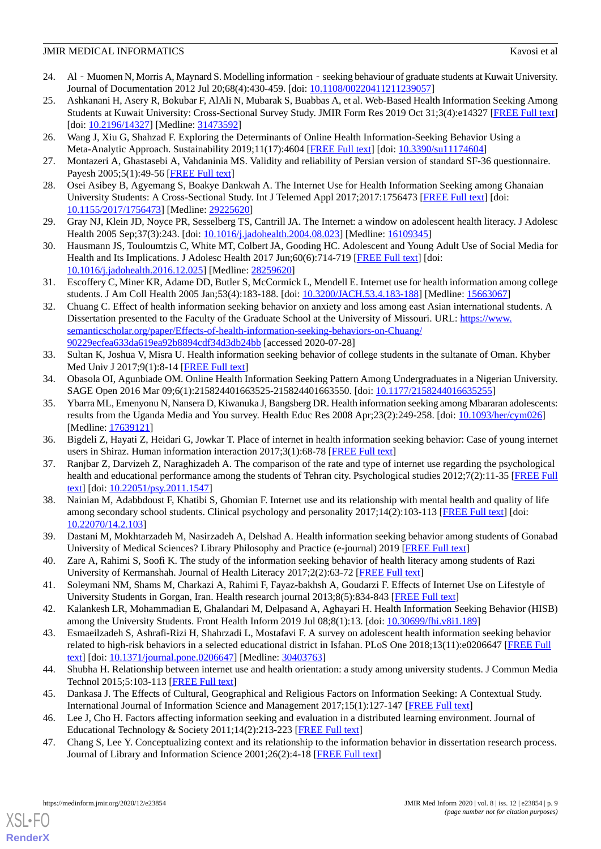- 24. Al Muomen N, Morris A, Maynard S. Modelling information seeking behaviour of graduate students at Kuwait University. Journal of Documentation 2012 Jul 20;68(4):430-459. [doi: [10.1108/00220411211239057](http://dx.doi.org/10.1108/00220411211239057)]
- <span id="page-8-22"></span>25. Ashkanani H, Asery R, Bokubar F, AlAli N, Mubarak S, Buabbas A, et al. Web-Based Health Information Seeking Among Students at Kuwait University: Cross-Sectional Survey Study. JMIR Form Res 2019 Oct 31;3(4):e14327 [\[FREE Full text](https://formative.jmir.org/2019/4/e14327/)] [doi: [10.2196/14327](http://dx.doi.org/10.2196/14327)] [Medline: [31473592\]](http://www.ncbi.nlm.nih.gov/entrez/query.fcgi?cmd=Retrieve&db=PubMed&list_uids=31473592&dopt=Abstract)
- <span id="page-8-1"></span><span id="page-8-0"></span>26. Wang J, Xiu G, Shahzad F. Exploring the Determinants of Online Health Information-Seeking Behavior Using a Meta-Analytic Approach. Sustainability 2019;11(17):4604 [\[FREE Full text\]](https://doi.org/10.3390/su11174604) [doi: [10.3390/su11174604](http://dx.doi.org/10.3390/su11174604)]
- <span id="page-8-2"></span>27. Montazeri A, Ghastasebi A, Vahdaninia MS. Validity and reliability of Persian version of standard SF-36 questionnaire. Payesh 2005;5(1):49-56 [[FREE Full text](http://payeshjournal.ir/article-1-756-fa.pdf)]
- <span id="page-8-3"></span>28. Osei Asibey B, Agyemang S, Boakye Dankwah A. The Internet Use for Health Information Seeking among Ghanaian University Students: A Cross-Sectional Study. Int J Telemed Appl 2017;2017:1756473 [[FREE Full text\]](https://doi.org/10.1155/2017/1756473) [doi: [10.1155/2017/1756473\]](http://dx.doi.org/10.1155/2017/1756473) [Medline: [29225620](http://www.ncbi.nlm.nih.gov/entrez/query.fcgi?cmd=Retrieve&db=PubMed&list_uids=29225620&dopt=Abstract)]
- <span id="page-8-4"></span>29. Gray NJ, Klein JD, Noyce PR, Sesselberg TS, Cantrill JA. The Internet: a window on adolescent health literacy. J Adolesc Health 2005 Sep;37(3):243. [doi: [10.1016/j.jadohealth.2004.08.023](http://dx.doi.org/10.1016/j.jadohealth.2004.08.023)] [Medline: [16109345](http://www.ncbi.nlm.nih.gov/entrez/query.fcgi?cmd=Retrieve&db=PubMed&list_uids=16109345&dopt=Abstract)]
- <span id="page-8-5"></span>30. Hausmann JS, Touloumtzis C, White MT, Colbert JA, Gooding HC. Adolescent and Young Adult Use of Social Media for Health and Its Implications. J Adolesc Health 2017 Jun;60(6):714-719 [[FREE Full text](http://europepmc.org/abstract/MED/28259620)] [doi: [10.1016/j.jadohealth.2016.12.025](http://dx.doi.org/10.1016/j.jadohealth.2016.12.025)] [Medline: [28259620](http://www.ncbi.nlm.nih.gov/entrez/query.fcgi?cmd=Retrieve&db=PubMed&list_uids=28259620&dopt=Abstract)]
- <span id="page-8-6"></span>31. Escoffery C, Miner KR, Adame DD, Butler S, McCormick L, Mendell E. Internet use for health information among college students. J Am Coll Health 2005 Jan;53(4):183-188. [doi: [10.3200/JACH.53.4.183-188\]](http://dx.doi.org/10.3200/JACH.53.4.183-188) [Medline: [15663067\]](http://www.ncbi.nlm.nih.gov/entrez/query.fcgi?cmd=Retrieve&db=PubMed&list_uids=15663067&dopt=Abstract)
- <span id="page-8-7"></span>32. Chuang C. Effect of health information seeking behavior on anxiety and loss among east Asian international students. A Dissertation presented to the Faculty of the Graduate School at the University of Missouri. URL: [https://www.](https://www.semanticscholar.org/paper/Effects-of-health-information-seeking-behaviors-on-Chuang/90229ecfea633da619ea92b8894cdf34d3db24bb) [semanticscholar.org/paper/Effects-of-health-information-seeking-behaviors-on-Chuang/](https://www.semanticscholar.org/paper/Effects-of-health-information-seeking-behaviors-on-Chuang/90229ecfea633da619ea92b8894cdf34d3db24bb) [90229ecfea633da619ea92b8894cdf34d3db24bb](https://www.semanticscholar.org/paper/Effects-of-health-information-seeking-behaviors-on-Chuang/90229ecfea633da619ea92b8894cdf34d3db24bb) [accessed 2020-07-28]
- <span id="page-8-9"></span><span id="page-8-8"></span>33. Sultan K, Joshua V, Misra U. Health information seeking behavior of college students in the sultanate of Oman. Khyber Med Univ J 2017;9(1):8-14 [\[FREE Full text\]](https://www.kmuj.kmu.edu.pk/article/view/16883)
- 34. Obasola OI, Agunbiade OM. Online Health Information Seeking Pattern Among Undergraduates in a Nigerian University. SAGE Open 2016 Mar 09;6(1):215824401663525-215824401663550. [doi: [10.1177/2158244016635255\]](http://dx.doi.org/10.1177/2158244016635255)
- <span id="page-8-11"></span><span id="page-8-10"></span>35. Ybarra ML, Emenyonu N, Nansera D, Kiwanuka J, Bangsberg DR. Health information seeking among Mbararan adolescents: results from the Uganda Media and You survey. Health Educ Res 2008 Apr;23(2):249-258. [doi: [10.1093/her/cym026](http://dx.doi.org/10.1093/her/cym026)] [Medline: [17639121](http://www.ncbi.nlm.nih.gov/entrez/query.fcgi?cmd=Retrieve&db=PubMed&list_uids=17639121&dopt=Abstract)]
- <span id="page-8-12"></span>36. Bigdeli Z, Hayati Z, Heidari G, Jowkar T. Place of internet in health information seeking behavior: Case of young internet users in Shiraz. Human information interaction 2017;3(1):68-78 [[FREE Full text](https://hii.khu.ac.ir/article-1-2568-en.html)]
- 37. Ranjbar Z, Darvizeh Z, Naraghizadeh A. The comparison of the rate and type of internet use regarding the psychological health and educational performance among the students of Tehran city. Psychological studies 2012;7(2):11-35 [[FREE Full](https://psychstudies.alzahra.ac.ir/article_1547_c0fc552952d34d077d890797cbf0e776.pdf) [text](https://psychstudies.alzahra.ac.ir/article_1547_c0fc552952d34d077d890797cbf0e776.pdf)] [doi: [10.22051/psy.2011.1547](http://dx.doi.org/10.22051/psy.2011.1547)]
- <span id="page-8-14"></span><span id="page-8-13"></span>38. Nainian M, Adabbdoust F, Khatibi S, Ghomian F. Internet use and its relationship with mental health and quality of life among secondary school students. Clinical psychology and personality 2017;14(2):103-113 [[FREE Full text](http://cpap.shahed.ac.ir/article-1-924-fa.html)] [doi: [10.22070/14.2.103\]](http://dx.doi.org/10.22070/14.2.103)
- <span id="page-8-15"></span>39. Dastani M, Mokhtarzadeh M, Nasirzadeh A, Delshad A. Health information seeking behavior among students of Gonabad University of Medical Sciences? Library Philosophy and Practice (e-journal) 2019 [[FREE Full text\]](https://digitalcommons.unl.edu/cgi/viewcontent.cgi?article=6032&context=libphilprac)
- <span id="page-8-17"></span><span id="page-8-16"></span>40. Zare A, Rahimi S, Soofi K. The study of the information seeking behavior of health literacy among students of Razi University of Kermanshah. Journal of Health Literacy 2017;2(2):63-72 [[FREE Full text](http://literacy.ihepsa.ir/article-1-83-en.html)]
- 41. Soleymani NM, Shams M, Charkazi A, Rahimi F, Fayaz-bakhsh A, Goudarzi F. Effects of Internet Use on Lifestyle of University Students in Gorgan, Iran. Health research journal 2013;8(5):834-843 [\[FREE Full text\]](https://www.sid.ir/En/Journal/ViewPaper.aspx?ID=348100)
- <span id="page-8-18"></span>42. Kalankesh LR, Mohammadian E, Ghalandari M, Delpasand A, Aghayari H. Health Information Seeking Behavior (HISB) among the University Students. Front Health Inform 2019 Jul 08;8(1):13. [doi: [10.30699/fhi.v8i1.189\]](http://dx.doi.org/10.30699/fhi.v8i1.189)
- <span id="page-8-20"></span><span id="page-8-19"></span>43. Esmaeilzadeh S, Ashrafi-Rizi H, Shahrzadi L, Mostafavi F. A survey on adolescent health information seeking behavior related to high-risk behaviors in a selected educational district in Isfahan. PLoS One 2018;13(11):e0206647 [\[FREE Full](https://dx.plos.org/10.1371/journal.pone.0206647) [text](https://dx.plos.org/10.1371/journal.pone.0206647)] [doi: [10.1371/journal.pone.0206647\]](http://dx.doi.org/10.1371/journal.pone.0206647) [Medline: [30403763](http://www.ncbi.nlm.nih.gov/entrez/query.fcgi?cmd=Retrieve&db=PubMed&list_uids=30403763&dopt=Abstract)]
- <span id="page-8-21"></span>44. Shubha H. Relationship between internet use and health orientation: a study among university students. J Commun Media Technol 2015;5:103-113 [[FREE Full text](https://www.ojcmt.net/download/relationship-between-internet-use-and-health-orientation-a-study-among-university-students-5693.pdf)]
- 45. Dankasa J. The Effects of Cultural, Geographical and Religious Factors on Information Seeking: A Contextual Study. International Journal of Information Science and Management 2017;15(1):127-147 [[FREE Full text](https://www.researchgate.net/publication/312630934_The_Effects_of_Cultural_Geographical_and_Religious_Factors_on_Information_Seeking_A_Contextual_Study/link/58874c814585150dde4f3255/download)]
- 46. Lee J, Cho H. Factors affecting information seeking and evaluation in a distributed learning environment. Journal of Educational Technology & Society 2011;14(2):213-223 [[FREE Full text\]](https://drive.google.com/file/d/11fYOmxh0vMJVKD0IgVp_ciQ9gTthgMM/view)
- 47. Chang S, Lee Y. Conceptualizing context and its relationship to the information behavior in dissertation research process. Journal of Library and Information Science 2001;26(2):4-18 [[FREE Full text](http://jlis.glis.ntnu.edu.tw/ojs../index.php/jlis/article/viewFile/369/369)]